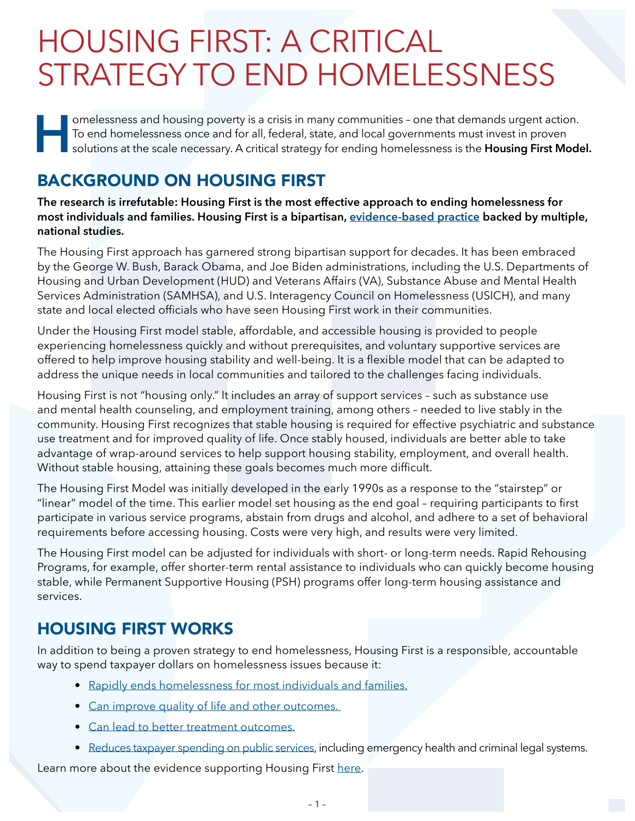## HOUSING FIRST: A CRITICAL STRATEGY TO END HOMELESSNESS

**Heron and Solutions and housing poverty is a crisis in many communities - one that demands urgent action.<br>To end homelessness once and for all, federal, state, and local governments must invest in proven solutions at the** To end homelessness once and for all, federal, state, and local governments must invest in proven solutions at the scale necessary. A critical strategy for ending homelessness is the **Housing First Model.**

## BACKGROUND ON HOUSING FIRST

**The research is irrefutable: Housing First is the most effective approach to ending homelessness for most individuals and families. Housing First is a bipartisan, [evidence-based practice](mailto:https://nlihc.org/sites/default/files/Housing-First-Research.pdf?subject=) backed by multiple, national studies.** 

The Housing First approach has garnered strong bipartisan support for decades. It has been embraced by the George W. Bush, Barack Obama, and Joe Biden administrations, including the U.S. Departments of Housing and Urban Development (HUD) and Veterans Affairs (VA), Substance Abuse and Mental Health Services Administration (SAMHSA), and U.S. Interagency Council on Homelessness (USICH), and many state and local elected officials who have seen Housing First work in their communities.

Under the Housing First model stable, affordable, and accessible housing is provided to people experiencing homelessness quickly and without prerequisites, and voluntary supportive services are offered to help improve housing stability and well-being. It is a flexible model that can be adapted to address the unique needs in local communities and tailored to the challenges facing individuals.

Housing First is not "housing only." It includes an array of support services – such as substance use and mental health counseling, and employment training, among others – needed to live stably in the community. Housing First recognizes that stable housing is required for effective psychiatric and substance use treatment and for improved quality of life. Once stably housed, individuals are better able to take advantage of wrap-around services to help support housing stability, employment, and overall health. Without stable housing, attaining these goals becomes much more difficult.

The Housing First Model was initially developed in the early 1990s as a response to the "stairstep" or "linear" model of the time. This earlier model set housing as the end goal – requiring participants to first participate in various service programs, abstain from drugs and alcohol, and adhere to a set of behavioral requirements before accessing housing. Costs were very high, and results were very limited.

The Housing First model can be adjusted for individuals with short- or long-term needs. Rapid Rehousing Programs, for example, offer shorter-term rental assistance to individuals who can quickly become housing stable, while Permanent Supportive Housing (PSH) programs offer long-term housing assistance and services.

## HOUSING FIRST WORKS

In addition to being a proven strategy to end homelessness, Housing First is a responsible, accountable way to spend taxpayer dollars on homelessness issues because it:

- [Rapidly ends homelessness for most individuals and families.](mailto:https://www.ncbi.nlm.nih.gov/pmc/articles/PMC8513528/?subject=)
- [Can improve quality of life and other outcomes.](mailto:https://www.mentalhealthcommission.ca/wp-content/uploads/drupal/mhcc_at_home_report_national_cross-site_eng_2_0.pdf?subject=)
- [Can lead to better treatment outcomes.](mailto:https://www.semanticscholar.org/paper/Fidelity-to-the-Housing-First-Model-and-Variation-Gilmer-Stefancic/37c293d816a76a7eb48284ff0b6b6482c3dc9bf8%3Fp2df?subject=)
- [Reduces taxpayer spending on public services](mailto:https://jamanetwork.com/journals/jama/fullarticle/183666?subject=), including emergency health and criminal legal systems.

Learn more about the evidence supporting Housing First [here](mailto:https://nlihc.org/sites/default/files/Housing-First-Research.pdf?subject=).